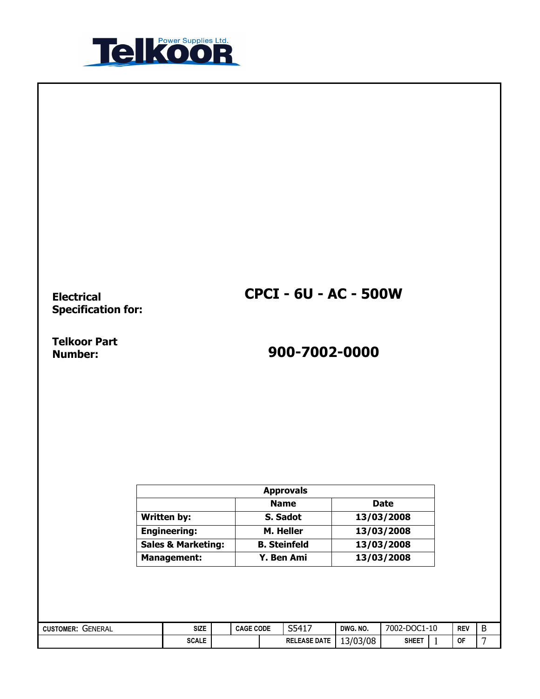

Electrical Specification for: CPCI - 6U - AC - 500W

Telkoor Part<br>Number:

# Number: 900-7002-0000

|                               | <b>Approvals</b>    |             |
|-------------------------------|---------------------|-------------|
|                               | <b>Name</b>         | <b>Date</b> |
| Written by:                   | S. Sadot            | 13/03/2008  |
| <b>Engineering:</b>           | M. Heller           | 13/03/2008  |
| <b>Sales &amp; Marketing:</b> | <b>B. Steinfeld</b> | 13/03/2008  |
| <b>Management:</b>            | Y. Ben Ami          | 13/03/2008  |

| GENERAL<br><b>CUSTOMER:</b> | <b>SIZE</b>  | <b>CAGE</b> | <b>CODE</b> | S5417<br>ΤФ.        | DWG, NO. | -DOC1-10<br>7002-L | <b>REV</b> | Ð<br>Đ |
|-----------------------------|--------------|-------------|-------------|---------------------|----------|--------------------|------------|--------|
|                             | <b>SCALE</b> |             |             | <b>RELEASE DATE</b> | 13/03/08 | <b>SHEET</b>       | <br>OF     | -      |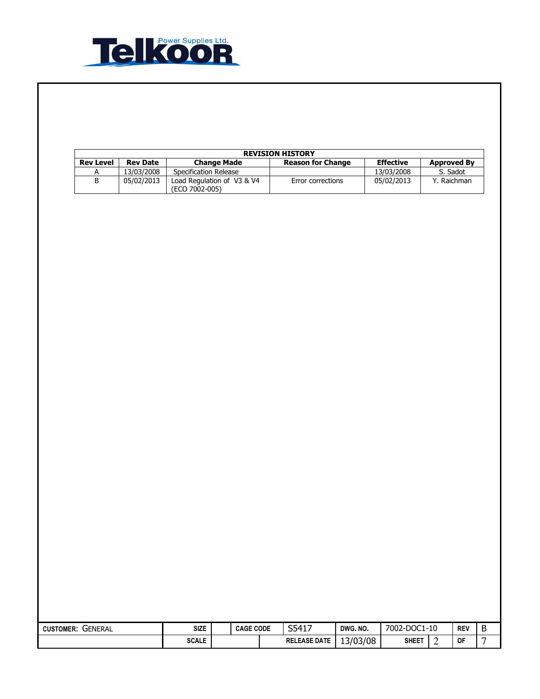

| <b>REVISION HISTORY</b> |                 |                                              |                          |                  |                    |  |  |  |
|-------------------------|-----------------|----------------------------------------------|--------------------------|------------------|--------------------|--|--|--|
| <b>Rev Level</b>        | <b>Rev Date</b> | <b>Change Made</b>                           | <b>Reason for Change</b> | <b>Effective</b> | <b>Approved By</b> |  |  |  |
|                         | 13/03/2008      | Specification Release                        |                          | 13/03/2008       | S. Sadot           |  |  |  |
| В                       | 05/02/2013      | Load Regulation of V3 & V4<br>(ECO 7002-005) | Error corrections        | 05/02/2013       | . Raichman         |  |  |  |

| <b>CUSTOMER:</b><br>GENERAL | <b>SIZE</b>  | <b>CAGE CODE</b> | S5417               | DWG. NO. | $-DOCI$<br>7002-L | $-10$ | REV       | -<br>◡ |
|-----------------------------|--------------|------------------|---------------------|----------|-------------------|-------|-----------|--------|
|                             | <b>SCALE</b> |                  | <b>RELEASE DATE</b> | 13/03/08 | <b>SHEET</b>      |       | <b>OF</b> |        |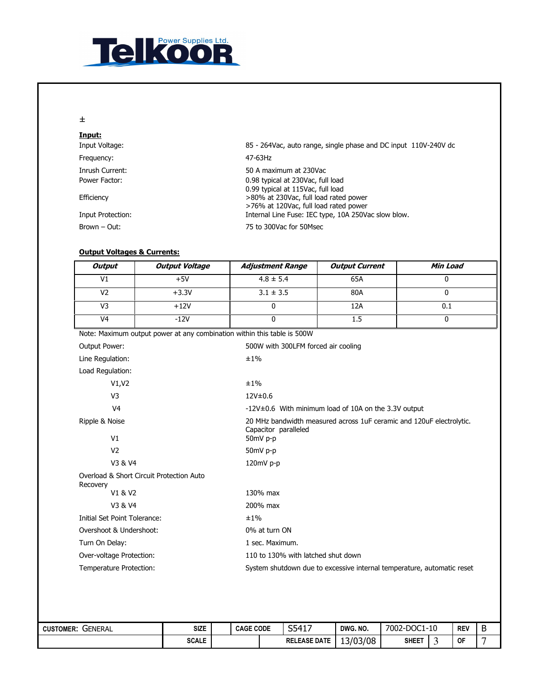

#### ±

| Input:            |                                                                 |
|-------------------|-----------------------------------------------------------------|
| Input Voltage:    | 85 - 264Vac, auto range, single phase and DC input 110V-240V dc |
| Frequency:        | 47-63Hz                                                         |
| Inrush Current:   | 50 A maximum at 230Vac                                          |
| Power Factor:     | 0.98 typical at 230Vac, full load                               |
|                   | 0.99 typical at 115Vac, full load                               |
| Efficiency        | >80% at 230Vac, full load rated power                           |
|                   | >76% at 120Vac, full load rated power                           |
| Input Protection: | Internal Line Fuse: IEC type, 10A 250Vac slow blow.             |
| Brown – Out:      | 75 to 300Vac for 50Msec                                         |

### Output Voltages & Currents:

| <b>Output</b>                            | <b>Output Voltage</b> | <b>Adjustment Range</b>                                                 | <b>Output Current</b>                                                  | Min Load                               |  |  |
|------------------------------------------|-----------------------|-------------------------------------------------------------------------|------------------------------------------------------------------------|----------------------------------------|--|--|
| V <sub>1</sub>                           | $+5V$                 | $4.8 \pm 5.4$                                                           | 65A                                                                    | $\mathbf 0$                            |  |  |
| V <sub>2</sub>                           | $+3.3V$               | $3.1 \pm 3.5$                                                           | 80A                                                                    | $\mathbf{0}$                           |  |  |
| $\overline{V}$                           | $+12V$                | $\Omega$                                                                | 12A                                                                    | 0.1                                    |  |  |
| V <sub>4</sub>                           | $-12V$                | 0                                                                       | 1.5                                                                    | $\mathbf 0$                            |  |  |
|                                          |                       | Note: Maximum output power at any combination within this table is 500W |                                                                        |                                        |  |  |
| Output Power:                            |                       | 500W with 300LFM forced air cooling                                     |                                                                        |                                        |  |  |
| Line Regulation:                         |                       | ±1%                                                                     |                                                                        |                                        |  |  |
| Load Regulation:                         |                       |                                                                         |                                                                        |                                        |  |  |
| V1,V2                                    |                       | ±1%                                                                     |                                                                        |                                        |  |  |
| V <sub>3</sub>                           |                       | 12V±0.6                                                                 |                                                                        |                                        |  |  |
| V <sub>4</sub>                           |                       |                                                                         | -12V±0.6 With minimum load of 10A on the 3.3V output                   |                                        |  |  |
| Ripple & Noise                           |                       |                                                                         | 20 MHz bandwidth measured across 1uF ceramic and 120uF electrolytic.   |                                        |  |  |
| V <sub>1</sub>                           |                       | Capacitor paralleled<br>50mV p-p                                        |                                                                        |                                        |  |  |
| V <sub>2</sub>                           |                       | 50mV p-p                                                                |                                                                        |                                        |  |  |
| V3 & V4                                  |                       | 120mV p-p                                                               |                                                                        |                                        |  |  |
| Overload & Short Circuit Protection Auto |                       |                                                                         |                                                                        |                                        |  |  |
| Recovery                                 |                       |                                                                         |                                                                        |                                        |  |  |
| V1 & V2                                  |                       | 130% max                                                                |                                                                        |                                        |  |  |
| V3 & V4                                  |                       | 200% max                                                                |                                                                        |                                        |  |  |
| Initial Set Point Tolerance:             |                       | ±1%                                                                     |                                                                        |                                        |  |  |
| Overshoot & Undershoot:                  |                       | 0% at turn ON                                                           |                                                                        |                                        |  |  |
| Turn On Delay:                           |                       | 1 sec. Maximum.                                                         |                                                                        |                                        |  |  |
| Over-voltage Protection:                 |                       | 110 to 130% with latched shut down                                      |                                                                        |                                        |  |  |
| Temperature Protection:                  |                       |                                                                         | System shutdown due to excessive internal temperature, automatic reset |                                        |  |  |
|                                          |                       |                                                                         |                                                                        |                                        |  |  |
| <b>ER' GENERAL</b>                       | SI <sub>7</sub> F     | S5417<br>CAGE CODE                                                      | DWG NO                                                                 | <b>R</b><br>7002-DOC1-10<br><b>RFV</b> |  |  |

## CUSTOMER: GENERAL SIZE | CAGE CODE | S5417 DWG. NO. | 7002-DOC1-10 | REV | B<br>SCALE | RELEASE DATE | 13/03/08 | SHEET | 3 OF | 7  $SCALE$  RELEASE DATE  $13/03/08$  SHEET  $3$  OF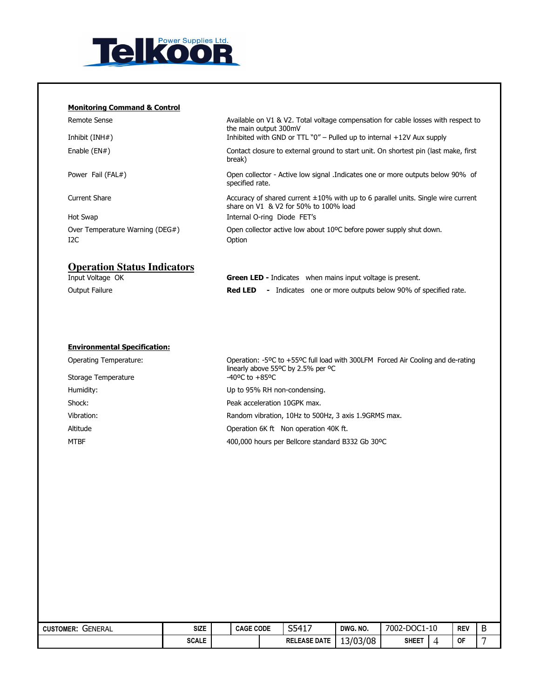

#### Monitoring Command & Control

| Remote Sense<br>Inhibit $(INH#)$   | Available on V1 & V2. Total voltage compensation for cable losses with respect to<br>the main output 300mV<br>Inhibited with GND or TTL $"0"$ – Pulled up to internal $+12V$ Aux supply |
|------------------------------------|-----------------------------------------------------------------------------------------------------------------------------------------------------------------------------------------|
|                                    |                                                                                                                                                                                         |
| Enable $(EN#)$                     | Contact closure to external ground to start unit. On shortest pin (last make, first<br>break)                                                                                           |
| Power Fail (FAL#)                  | Open collector - Active low signal .Indicates one or more outputs below 90% of<br>specified rate.                                                                                       |
| Current Share                      | Accuracy of shared current $\pm 10\%$ with up to 6 parallel units. Single wire current<br>share on V1 & V2 for 50% to 100% load                                                         |
| Hot Swap                           | Internal O-ring Diode FET's                                                                                                                                                             |
| Over Temperature Warning (DEG#)    | Open collector active low about 10°C before power supply shut down.                                                                                                                     |
| I2C                                | Option                                                                                                                                                                                  |
|                                    |                                                                                                                                                                                         |
| <b>Operation Status Indicators</b> |                                                                                                                                                                                         |

| Input Voltage OK |                | <b>Green LED - Indicates</b> when mains input voltage is present. |
|------------------|----------------|-------------------------------------------------------------------|
| Output Failure   | <b>Red LED</b> | - Indicates one or more outputs below 90% of specified rate.      |

## Environmental Specification:

| <b>Operating Temperature:</b> | Operation: -5°C to +55°C full load with 300LFM Forced Air Cooling and de-rating<br>linearly above 55°C by 2.5% per °C |  |  |
|-------------------------------|-----------------------------------------------------------------------------------------------------------------------|--|--|
| Storage Temperature           | $-40^{\circ}$ C to $+85^{\circ}$ C                                                                                    |  |  |
| Humidity:                     | Up to 95% RH non-condensing.                                                                                          |  |  |
| Shock:                        | Peak acceleration 10GPK max.                                                                                          |  |  |
| Vibration:                    | Random vibration, 10Hz to 500Hz, 3 axis 1.9GRMS max.                                                                  |  |  |
| Altitude                      | Operation 6K ft Non operation 40K ft.                                                                                 |  |  |
| MTBF                          | 400,000 hours per Bellcore standard B332 Gb 30°C                                                                      |  |  |

| GENERAL<br><b>CUSTOMER:</b> | <b>SIZE</b>  | <b>CAGE CODE</b> | S5417               | DWG. NO. | 7002-DOC1-10 |   | <b>REV</b> | B |
|-----------------------------|--------------|------------------|---------------------|----------|--------------|---|------------|---|
|                             | <b>SCALE</b> |                  | <b>RELEASE DATE</b> | 13/03/08 | <b>SHEET</b> | 4 | <b>OF</b>  |   |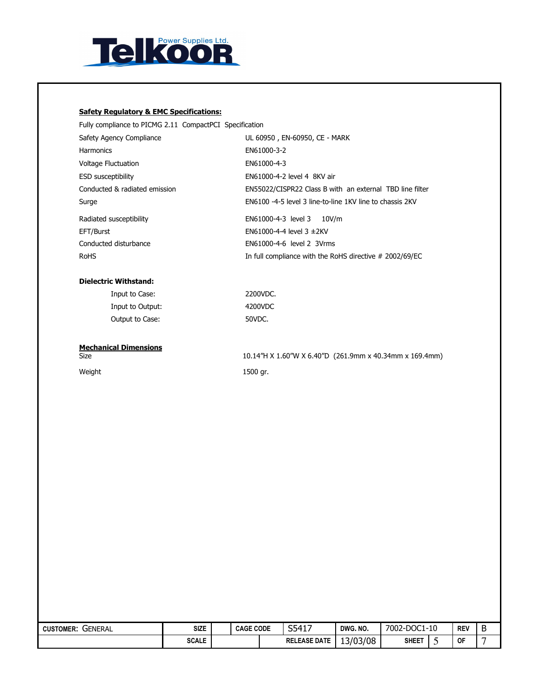

## Safety Regulatory & EMC Specifications:

Fully compliance to PICMG 2.11 CompactPCI Specification

| Safety Agency Compliance      | UL 60950, EN-60950, CE - MARK                            |
|-------------------------------|----------------------------------------------------------|
| <b>Harmonics</b>              | EN61000-3-2                                              |
| <b>Voltage Fluctuation</b>    | EN61000-4-3                                              |
| <b>ESD susceptibility</b>     | EN61000-4-2 level 4 8KV air                              |
| Conducted & radiated emission | EN55022/CISPR22 Class B with an external TBD line filter |
| Surge                         | EN6100 -4-5 level 3 line-to-line 1KV line to chassis 2KV |
| Radiated susceptibility       | EN61000-4-3 level 3<br>10V/m                             |
| EFT/Burst                     | EN61000-4-4 level $3 \pm 2$ KV                           |
| Conducted disturbance         | EN61000-4-6 level 2 3Vrms                                |
| <b>RoHS</b>                   |                                                          |

#### Dielectric Withstand:

| Input to Case:   | 2200VDC. |
|------------------|----------|
| Input to Output: | 4200VDC  |
| Output to Case:  | 50VDC.   |

**Mechanical Dimensions**<br>Size

Size 10.14"H X 1.60"W X 6.40"D (261.9mm x 40.34mm x 169.4mm) Weight 1500 gr.

| <b>GENERAL</b><br><b>CUSTOMER:</b> | <b>SIZE</b>  | <b>CAGE CODE</b> |  | S5417               | DWG, NO. | 7002-DOC1-<br>$1 - 10$ |  | <b>REV</b> | D |
|------------------------------------|--------------|------------------|--|---------------------|----------|------------------------|--|------------|---|
|                                    | <b>SCALE</b> |                  |  | <b>RELEASE DATE</b> | 13/03/08 | <b>SHEE1</b>           |  | 0F         | - |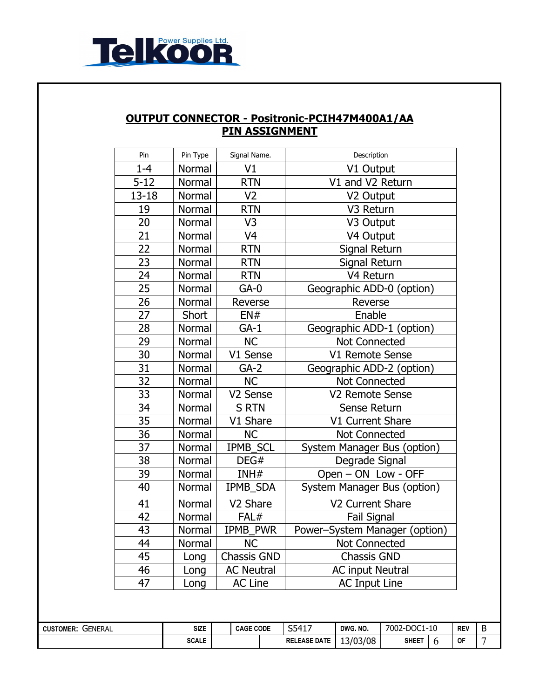

## OUTPUT CONNECTOR - Positronic-PCIH47M400A1/AA PIN ASSIGNMENT

| Pin       | Pin Type | Signal Name.         | Description                   |  |  |
|-----------|----------|----------------------|-------------------------------|--|--|
| $1 - 4$   | Normal   | V1                   | V1 Output                     |  |  |
| $5 - 12$  | Normal   | <b>RTN</b>           | V1 and V2 Return              |  |  |
| $13 - 18$ | Normal   | V <sub>2</sub>       | V2 Output                     |  |  |
| 19        | Normal   | <b>RTN</b>           | V3 Return                     |  |  |
| 20        | Normal   | V3                   | V3 Output                     |  |  |
| 21        | Normal   | V <sub>4</sub>       | V4 Output                     |  |  |
| 22        | Normal   | <b>RTN</b>           | Signal Return                 |  |  |
| 23        | Normal   | <b>RTN</b>           | Signal Return                 |  |  |
| 24        | Normal   | <b>RTN</b>           | V4 Return                     |  |  |
| 25        | Normal   | $GA-0$               | Geographic ADD-0 (option)     |  |  |
| 26        | Normal   | Reverse              | Reverse                       |  |  |
| 27        | Short    | EN#                  | Enable                        |  |  |
| 28        | Normal   | $GA-1$               | Geographic ADD-1 (option)     |  |  |
| 29        | Normal   | <b>NC</b>            | <b>Not Connected</b>          |  |  |
| 30        | Normal   | V1 Sense             | V1 Remote Sense               |  |  |
| 31        | Normal   | $GA-2$               | Geographic ADD-2 (option)     |  |  |
| 32        | Normal   | <b>NC</b>            | <b>Not Connected</b>          |  |  |
| 33        | Normal   | V2 Sense             | V2 Remote Sense               |  |  |
| 34        | Normal   | <b>S RTN</b>         | Sense Return                  |  |  |
| 35        | Normal   | V1 Share             | V1 Current Share              |  |  |
| 36        | Normal   | <b>NC</b>            | <b>Not Connected</b>          |  |  |
| 37        | Normal   | <b>IPMB SCL</b>      | System Manager Bus (option)   |  |  |
| 38        | Normal   | DEG#                 | Degrade Signal                |  |  |
| 39        | Normal   | INH#                 | Open - ON Low - OFF           |  |  |
| 40        | Normal   | IPMB_SDA             | System Manager Bus (option)   |  |  |
| 41        | Normal   | V <sub>2</sub> Share | V2 Current Share              |  |  |
| 42        | Normal   | FAL#                 | <b>Fail Signal</b>            |  |  |
| 43        | Normal   | <b>IPMB PWR</b>      | Power-System Manager (option) |  |  |
| 44        | Normal   | <b>NC</b>            | <b>Not Connected</b>          |  |  |
| 45        | Long     | <b>Chassis GND</b>   | <b>Chassis GND</b>            |  |  |
| 46        | Long     | <b>AC Neutral</b>    | <b>AC input Neutral</b>       |  |  |
| 47        | Long     | <b>AC Line</b>       | <b>AC Input Line</b>          |  |  |

| GENERAL<br><b>CUSTOMER:</b> | <b>SIZE</b>  | <b>CAGE CODE</b> |  | S5417<br>т⊥,<br>ັບ  | DWG, NO. | 7002-DOC1-10 |  | <b>REV</b> | Ð<br>D |
|-----------------------------|--------------|------------------|--|---------------------|----------|--------------|--|------------|--------|
|                             | <b>SCALE</b> |                  |  | <b>RELEASE DATE</b> | 13/03/08 | <b>SHEET</b> |  | <b>OF</b>  | -      |